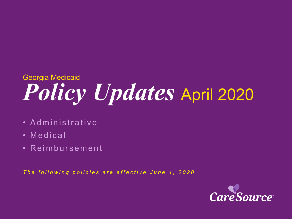# *Policy Updates* April 2020 Georgia Medicaid

- Administrative
- Medical
- Reimbursement

*The following policies are effective June 1, 2020*

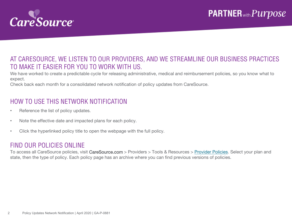

### AT CARESOURCE, WE LISTEN TO OUR PROVIDERS, AND WE STREAMLINE OUR BUSINESS PRACTICES TO MAKE IT EASIER FOR YOU TO WORK WITH US.

We have worked to create a predictable cycle for releasing administrative, medical and reimbursement policies, so you know what to expect.

Check back each month for a consolidated network notification of policy updates from CareSource.

### HOW TO USE THIS NETWORK NOTIFICATION

- Reference the list of policy updates.
- Note the effective date and impacted plans for each policy.
- Click the hyperlinked policy title to open the webpage with the full policy.

#### FIND OUR POLICIES ONLINE

To access all CareSource policies, visit CareSource.com > Providers > Tools & Resources > [Provider Policies.](https://www.caresource.com/providers/tools-resources/health-partner-policies/) Select your plan and state, then the type of policy. Each policy page has an archive where you can find previous versions of policies.